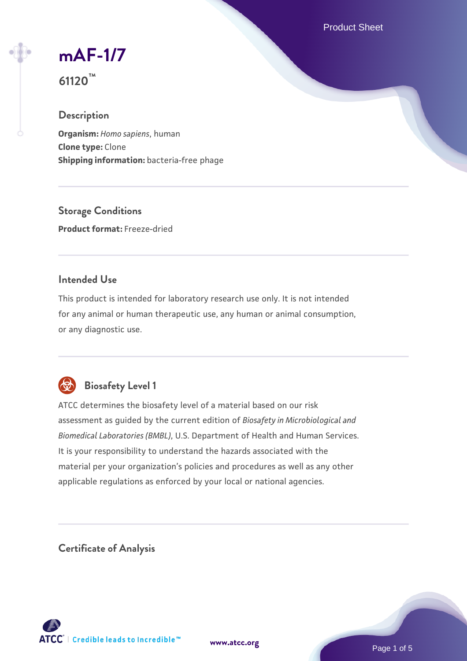Product Sheet

# **[mAF-1/7](https://www.atcc.org/products/61120)**

**61120™**

# **Description**

**Organism:** *Homo sapiens*, human **Clone type:** Clone **Shipping information:** bacteria-free phage

**Storage Conditions Product format:** Freeze-dried

# **Intended Use**

This product is intended for laboratory research use only. It is not intended for any animal or human therapeutic use, any human or animal consumption, or any diagnostic use.



# **Biosafety Level 1**

ATCC determines the biosafety level of a material based on our risk assessment as guided by the current edition of *Biosafety in Microbiological and Biomedical Laboratories (BMBL)*, U.S. Department of Health and Human Services. It is your responsibility to understand the hazards associated with the material per your organization's policies and procedures as well as any other applicable regulations as enforced by your local or national agencies.

**Certificate of Analysis**

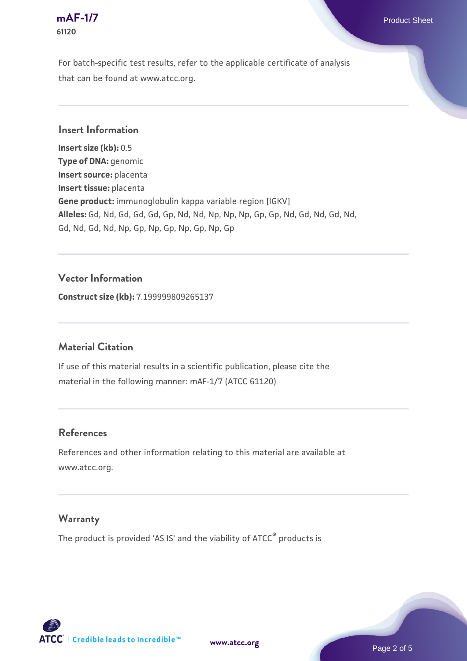#### **[mAF-1/7](https://www.atcc.org/products/61120)** Product Sheet **61120**

For batch-specific test results, refer to the applicable certificate of analysis that can be found at www.atcc.org.

## **Insert Information**

**Insert size (kb):** 0.5 **Type of DNA:** genomic **Insert source:** placenta **Insert tissue:** placenta **Gene product:** immunoglobulin kappa variable region [IGKV] **Alleles:** Gd, Nd, Gd, Gd, Gd, Gp, Nd, Nd, Np, Np, Np, Gp, Gp, Nd, Gd, Nd, Gd, Nd, Gd, Nd, Gd, Nd, Np, Gp, Np, Gp, Np, Gp, Np, Gp

## **Vector Information**

**Construct size (kb):** 7.199999809265137

# **Material Citation**

If use of this material results in a scientific publication, please cite the material in the following manner: mAF-1/7 (ATCC 61120)

#### **References**

References and other information relating to this material are available at www.atcc.org.

#### **Warranty**

The product is provided 'AS IS' and the viability of ATCC® products is

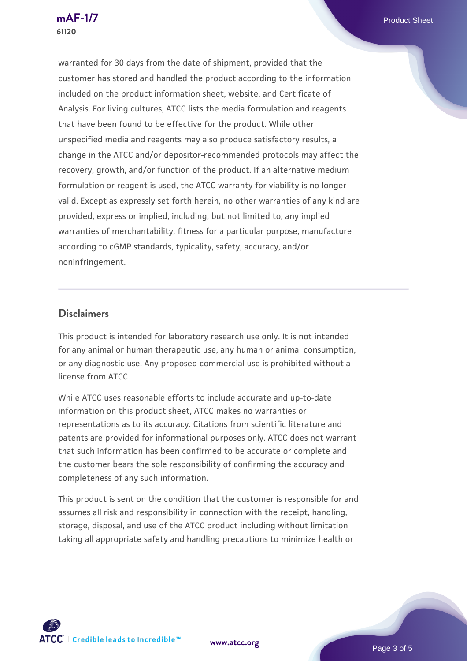warranted for 30 days from the date of shipment, provided that the customer has stored and handled the product according to the information included on the product information sheet, website, and Certificate of Analysis. For living cultures, ATCC lists the media formulation and reagents that have been found to be effective for the product. While other unspecified media and reagents may also produce satisfactory results, a change in the ATCC and/or depositor-recommended protocols may affect the recovery, growth, and/or function of the product. If an alternative medium formulation or reagent is used, the ATCC warranty for viability is no longer valid. Except as expressly set forth herein, no other warranties of any kind are provided, express or implied, including, but not limited to, any implied warranties of merchantability, fitness for a particular purpose, manufacture according to cGMP standards, typicality, safety, accuracy, and/or noninfringement.

#### **Disclaimers**

This product is intended for laboratory research use only. It is not intended for any animal or human therapeutic use, any human or animal consumption, or any diagnostic use. Any proposed commercial use is prohibited without a license from ATCC.

While ATCC uses reasonable efforts to include accurate and up-to-date information on this product sheet, ATCC makes no warranties or representations as to its accuracy. Citations from scientific literature and patents are provided for informational purposes only. ATCC does not warrant that such information has been confirmed to be accurate or complete and the customer bears the sole responsibility of confirming the accuracy and completeness of any such information.

This product is sent on the condition that the customer is responsible for and assumes all risk and responsibility in connection with the receipt, handling, storage, disposal, and use of the ATCC product including without limitation taking all appropriate safety and handling precautions to minimize health or



**[www.atcc.org](http://www.atcc.org)**

Page 3 of 5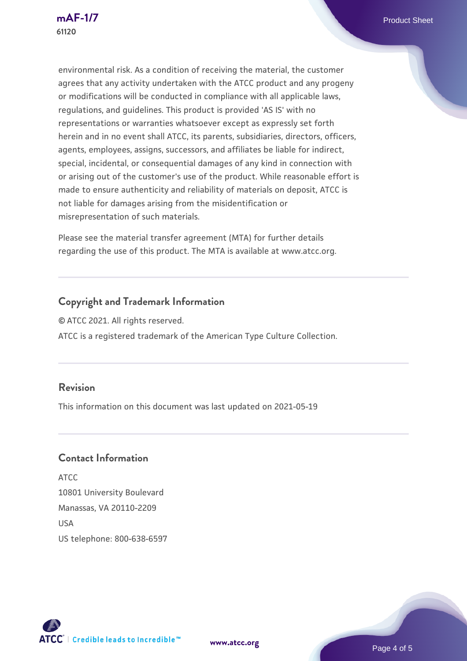environmental risk. As a condition of receiving the material, the customer agrees that any activity undertaken with the ATCC product and any progeny or modifications will be conducted in compliance with all applicable laws, regulations, and guidelines. This product is provided 'AS IS' with no representations or warranties whatsoever except as expressly set forth herein and in no event shall ATCC, its parents, subsidiaries, directors, officers, agents, employees, assigns, successors, and affiliates be liable for indirect, special, incidental, or consequential damages of any kind in connection with or arising out of the customer's use of the product. While reasonable effort is made to ensure authenticity and reliability of materials on deposit, ATCC is not liable for damages arising from the misidentification or misrepresentation of such materials.

Please see the material transfer agreement (MTA) for further details regarding the use of this product. The MTA is available at www.atcc.org.

# **Copyright and Trademark Information**

© ATCC 2021. All rights reserved. ATCC is a registered trademark of the American Type Culture Collection.

# **Revision**

This information on this document was last updated on 2021-05-19

#### **Contact Information**

ATCC 10801 University Boulevard Manassas, VA 20110-2209 **IISA** US telephone: 800-638-6597